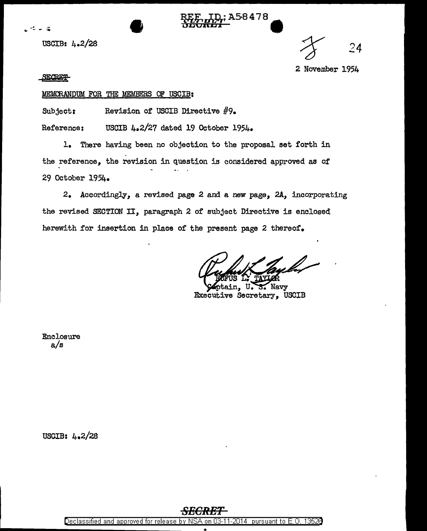





**SECRET-**

## MEMORANDUM FOR THE MEMBERS OF USCIB:

Subject: Revision of USCIB Directive #9.

Reference: USCIB 4.2/27 dated 19 October 1954.

1. There having been no objection to the proposal set forth in the reference, the revision in question is considered approved as of 29 October 1954.

2. Accordingly, a revised page 2 and a new page, 2A, incorporating the revised SECTION II, paragraph 2 of subject Directive is enclosed herewith for insertion in place of the present page 2 thereof.

Navy Executive Secretary, USCIB

:A58478

Enclosure  $a/s$ 

USCIB: 4.2/28

Declassified and approved for release by NSA on 03-11-2014 pursuant to E. 0. 1352B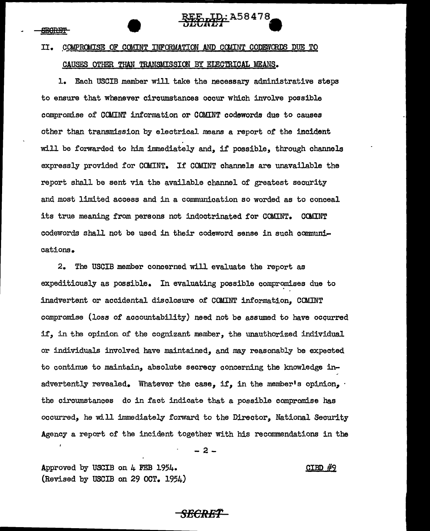# II. COMPROMISE OF COMINT INFORMATION AND COMINT CODEWORDS DUE TO CAUSES OTHER THAN TRANSMISSION BY ELECTRICAL MEANS.

REE LD: A58478 ULURLI I

1. Each USCIB member will take the necessary administrative steps to ensure that whenever circumstances occur which involve possible compromise of COMINT information or COMINT codewords due to causes other than transmission by electrical means a report of the incident will be forwarded to him immediately and, if possible, through channels expressly provided for COMINT. If COMINT channels are unavailable the report shall be sent via the available channel of greatest security and most limited access and in a communication so worded as to conceal its true meaning from persons not indoctrinated for COMINT. COMINT codewords shall not be used in their codeword sense in such communications.

2. The USCIB member concerned will evaluate the report as expeditiously as possible. In evaluating possible compromises due to inadvertent or accidental disclosure of COMINT information, COMINT compromise (loss of accountability) need not be assumed to have ocqurred if, in the opinion of the cognizant member, the unauthorized individual or individuals involved have maintained, and may reasonably be ex.peated to continue to maintain, absolute secrecy concerning the knowledge inadvertently revealed. Whatever the case, if, in the member's opinion, the circumstances do in fact indicate that a possible compromise has occurred, he will immediately fonvard to the Director, National Security Agency a report of the incident together with his recommendations in the

-2-

Approved by USCIB on 4 FEB 1954. (Revised by USCIB on 29 OCT. 1954) CIBD #9

## *SECRET*